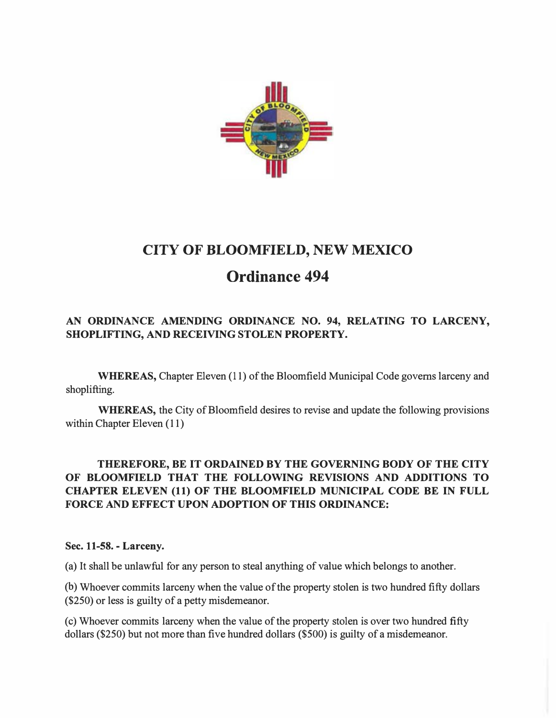

# CITY OF BLOOMFIELD, NEW MEXICO Ordinance 494

## AN ORDINANCE AMENDING ORDINANCE NO. 94, RELATING TO LARCENY, SHOPLIFTING, AND RECEIVING STOLEN PROPERTY.

WHEREAS, Chapter Eleven (11) of the Bloomfield Municipal Code governs larceny and shoplifting.

WHEREAS, the City of Bloomfield desires to revise and update the following provisions within Chapter Eleven (11)

## THEREFORE, BE IT ORDAINED BY THE GOVERNING BODY OF THE CITY OF BLOOMFIELD THAT THE FOLLOWING REVISIONS AND ADDITIONS TO CHAPTER ELEVEN (11) OF THE BLOOMFIELD MUNICIPAL CODE BE IN FULL FORCE AND EFFECT UPON ADOPTION OF THIS ORDINANCE:

### Sec. 11-58. - Larceny.

(a) It shall be unlawful for any person to steal anything of value which belongs to another.

(b) Whoever commits larceny when the value of the property stolen is two hundred fifty dollars (\$250) or less is guilty of a petty misdemeanor.

(c) Whoever commits larceny when the value of the property stolen is over two hundred fifty dollars (\$250) but not more than five hundred dollars (\$500) is guilty of a misdemeanor.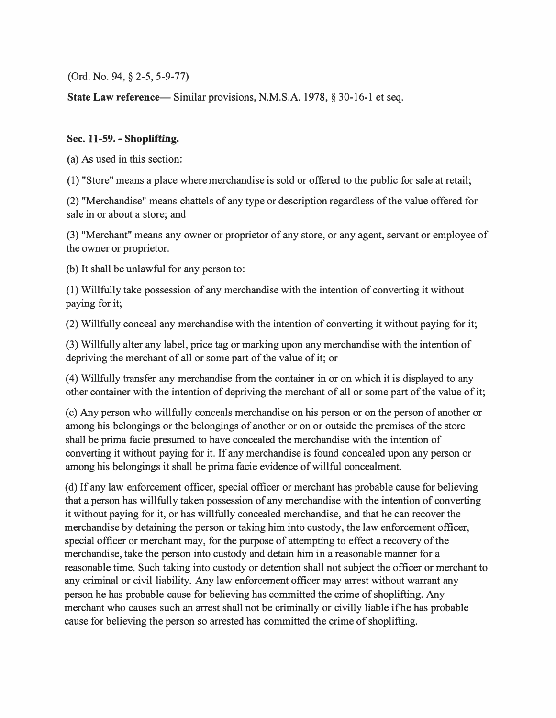(Ord. No. 94, § 2-5, 5-9-77)

State Law reference— Similar provisions, N.M.S.A. 1978, § 30-16-1 et seq.

#### Sec. 11-59. - Shoplifting.

(a) As used in this section:

(1) "Store" means a place where merchandise is sold or offered to the public for sale at retail;

(2) "Merchandise" means chattels of any type or description regardless of the value offered for sale in or about a store; and

(3) "Merchant" means any owner or proprietor of any store, or any agent, servant or employee of the owner or proprietor.

(b) It shall be unlawful for any person to:

(1) Willfully take possession of any merchandise with the intention of converting it without paying for it;

(2) Willfully conceal any merchandise with the intention of converting it without paying for it;

(3) Willfully alter any label, price tag or marking upon any merchandise with the intention of depriving the merchant of all or some part of the value of it; or

(4) Willfully transfer any merchandise from the container in or on which it is displayed to any other container with the intention of depriving the merchant of all or some part of the value of it;

( c) Any person who willfully conceals merchandise on his person or on the person of another or among his belongings or the belongings of another or on or outside the premises of the store shall be prima facie presumed to have concealed the merchandise with the intention of converting it without paying for it. If any merchandise is found concealed upon any person or among his belongings it shall be prima facie evidence of willful concealment.

( d) If any law enforcement officer, special officer or merchant has probable cause for believing that a person has willfully taken possession of any merchandise with the intention of converting it without paying for it, or has willfully concealed merchandise, and that he can recover the merchandise by detaining the person or taking him into custody, the law enforcement officer, special officer or merchant may, for the purpose of attempting to effect a recovery of the merchandise, take the person into custody and detain him in a reasonable manner for a reasonable time. Such taking into custody or detention shall not subject the officer or merchant to any criminal or civil liability. Any law enforcement officer may arrest without warrant any person he has probable cause for believing has committed the crime of shoplifting. Any merchant who causes such an arrest shall not be criminally or civilly liable ifhe has probable cause for believing the person so arrested has committed the crime of shoplifting.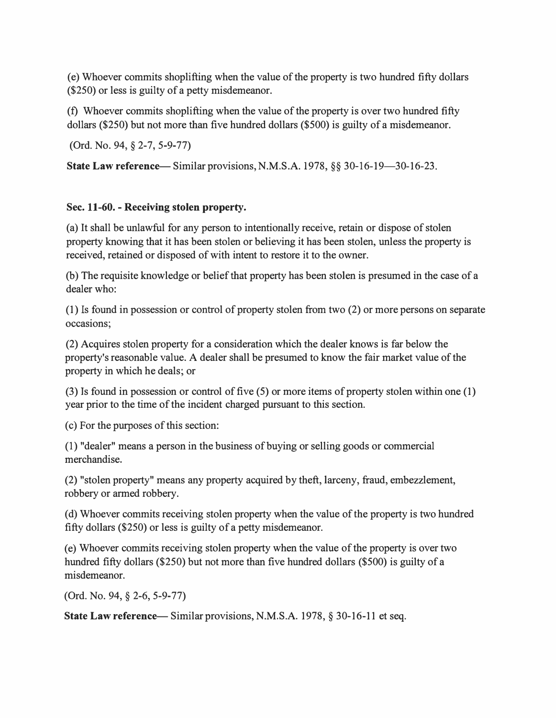(e) Whoever commits shoplifting when the value of the property is two hundred fifty dollars (\$250) or less is guilty of a petty misdemeanor.

(f) Whoever commits shoplifting when the value of the property is over two hundred fifty dollars (\$250) but not more than five hundred dollars (\$500) is guilty of a misdemeanor.

(Ord. No. 94, § 2-7, 5-9-77)

State Law reference- Similar provisions, N.M.S.A. 1978, §§ 30-16-19-30-16-23.

### Sec. 11-60. - Receiving stolen property.

(a) It shall be unlawful for any person to intentionally receive, retain or dispose of stolen property knowing that it has been stolen or believing it has been stolen, unless the property is received, retained or disposed of with intent to restore it to the owner.

(b) The requisite knowledge or belief that property has been stolen is presumed in the case of a dealer who:

(1) Is found in possession or control of property stolen from two (2) or more persons on separate occasions;

(2) Acquires stolen property for a consideration which the dealer knows is far below the property's reasonable value. A dealer shall be presumed to know the fair market value of the property in which he deals; or

(3) Is found in possession or control of five (5) or more items of property stolen within one (1) year prior to the time of the incident charged pursuant to this section.

(c) For the purposes of this section:

(1) "dealer" means a person in the business of buying or selling goods or commercial merchandise.

(2) "stolen property" means any property acquired by theft, larceny, fraud, embezzlement, robbery or armed robbery.

( d) Whoever commits receiving stolen property when the value of the property is two hundred fifty dollars (\$250) or less is guilty of a petty misdemeanor.

(e) Whoever commits receiving stolen property when the value of the property is over two hundred fifty dollars (\$250) but not more than five hundred dollars (\$500) is guilty of a misdemeanor.

(Ord. No. 94, § 2-6, 5-9-77)

**State Law reference—** Similar provisions, N.M.S.A. 1978,  $\S 30$ -16-11 et seq.